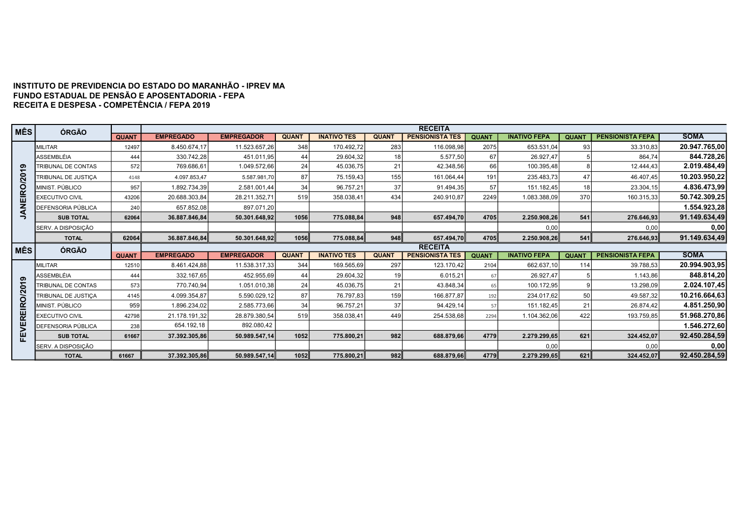## INSTITUTO DE PREVIDENCIA DO ESTADO DO MARANHÃO - IPREV MA FUNDO ESTADUAL DE PENSÃO E APOSENTADORIA - FEPA RECEITA E DESPESA - COMPETÊNCIA / FEPA 2019

| <b>MÊS</b>       | ÓRGÃO                     |              |                  |                   |              |                    |              | <b>RECEITA</b>         |              |                     |              |                         |                                             |
|------------------|---------------------------|--------------|------------------|-------------------|--------------|--------------------|--------------|------------------------|--------------|---------------------|--------------|-------------------------|---------------------------------------------|
|                  |                           | <b>QUANT</b> | <b>EMPREGADO</b> | <b>EMPREGADOR</b> | <b>QUANT</b> | <b>INATIVO TES</b> | <b>QUANT</b> | <b>PENSIONISTA TES</b> | <b>QUANT</b> | <b>INATIVO FEPA</b> | <b>QUANT</b> | <b>PENSIONISTA FEPA</b> | <b>SOMA</b>                                 |
|                  | <b>MILITAR</b>            | 12497        | 8.450.674,17     | 11.523.657,26     | 348          | 170.492,72         | 283          | 116.098,98             | 2075         | 653.531,04          | 93           | 33.310,83               | 20.947.765,00                               |
|                  | ASSEMBLÉIA                | 444          | 330.742.28       | 451.011.95        | 44           | 29.604.32          | 18           | 5.577.50               | 67           | 26.927.47           |              | 864.74                  | 844.728,26                                  |
| စာ               | <b>TRIBUNAL DE CONTAS</b> | 572          | 769.686.61       | 1.049.572.66      | 24           | 45.036,75          | 21           | 42.348.56              | 66           | 100.395,48          |              | 12.444.43               | 2.019.484,49                                |
| $\overline{20}$  | TRIBUNAL DE JUSTICA       | 4148         | 4.097.853,47     | 5.587.981,70      | 87           | 75.159,43          | 155          | 161.064,44             | 191          | 235.483,73          | 47           | 46.407.45               | 10.203.950,22                               |
| EIRO/            | MINIST, PÚBLICO           | 957          | 1.892.734,39     | 2.581.001,44      | 34           | 96.757,21          | 37           | 91.494,35              | 57           | 151.182,45          | 18           | 23.304,15               | 4.836.473,99                                |
|                  | <b>EXECUTIVO CIVIL</b>    | 43206        | 20.688.303,84    | 28.211.352,71     | 519          | 358.038,41         | 434          | 240.910,87             | 2249         | 1.083.388,09        | 370          | 160.315,33              | 50.742.309,25                               |
| z<br>∢           | DEFENSORIA PÚBLICA        | 240          | 657.852,08       | 897.071,20        |              |                    |              |                        |              |                     |              |                         | 1.554.923,28                                |
| っ                | <b>SUB TOTAL</b>          | 62064        | 36.887.846.84    | 50.301.648.92     | 1056         | 775.088,84         | 948          | 657.494.70             | 4705         | 2.250.908,26        | 541          | 276.646,93              | 91.149.634,49                               |
|                  | SERV. A DISPOSIÇÃO        |              |                  |                   |              |                    |              |                        |              | 0,00                |              | 0,00                    | 0,00                                        |
|                  | <b>TOTAL</b>              | 62064        | 36.887.846.84    | 50.301.648.92     | 1056         | 775.088,84         | 948          | 657.494,70             | 4705         | 2.250.908,26        | 541          | 276.646,93              | 91.149.634,49                               |
|                  |                           |              |                  |                   |              |                    |              | <b>RECEITA</b>         |              |                     |              |                         |                                             |
|                  |                           |              |                  |                   |              |                    |              |                        |              |                     |              |                         |                                             |
| <b>MÊS</b>       | <b>ÓRGÃO</b>              | <b>QUANT</b> | <b>EMPREGADO</b> | <b>EMPREGADOR</b> | <b>QUANT</b> | <b>INATIVO TES</b> | <b>QUANT</b> | <b>PENSIONISTA TES</b> | <b>QUANT</b> | <b>INATIVO FEPA</b> | <b>QUANT</b> | <b>PENSIONISTA FEPA</b> | <b>SOMA</b>                                 |
|                  | <b>MILITAR</b>            | 12510        | 8.461.424,88     | 11.538.317,33     | 344          | 169.565,69         | 297          | 123.170,42             | 2104         | 662.637,10          | 114          | 39.788,53               |                                             |
| ග                | ASSEMBLÉIA                | 444          | 332.167,65       | 452.955,69        | 44           | 29.604,32          | 19           | 6.015,21               | 67           | 26.927,47           |              | 1.143,86                |                                             |
|                  | TRIBUNAL DE CONTAS        | 573          | 770.740,94       | 1.051.010,38      | 24           | 45.036,75          | 21           | 43.848,34              | 65           | 100.172,95          |              | 13.298,09               | 20.994.903,95<br>848.814,20<br>2.024.107,45 |
|                  | TRIBUNAL DE JUSTIÇA       | 4145         | 4.099.354,87     | 5.590.029,12      | 87           | 76.797,83          | 159          | 166.877,87             | 192          | 234.017,62          | 50           | 49.587,32               | 10.216.664,63                               |
| O/20             | MINIST, PÚBLICO           | 959          | 1.896.234,02     | 2.585.773,66      | 34           | 96.757,21          | 37           | 94.429,14              | 57           | 151.182,45          | 21           | 26.874,42               | 4.851.250,90                                |
|                  | <b>EXECUTIVO CIVIL</b>    | 42798        | 21.178.191,32    | 28.879.380,54     | 519          | 358.038,41         | 449          | 254.538,68             | 2294         | 1.104.362,06        | 422          | 193.759,85              |                                             |
| <b>REIR</b><br>ш | DEFENSORIA PÚBLICA        | 238          | 654.192,18       | 892.080,42        |              |                    |              |                        |              |                     |              |                         | 51.968.270,86<br>1.546.272,60               |
|                  | <b>SUB TOTAL</b>          | 61667        | 37.392.305,86    | 50.989.547,14     | 1052         | 775.800,21         | 982          | 688.879,66             | 4779         | 2.279.299,65        | 621          | 324.452,07              | 92.450.284,59                               |
| FEN              | SERV. A DISPOSIÇÃO        |              |                  |                   |              |                    |              |                        |              | 0,00                |              | 0,00                    | 0,00                                        |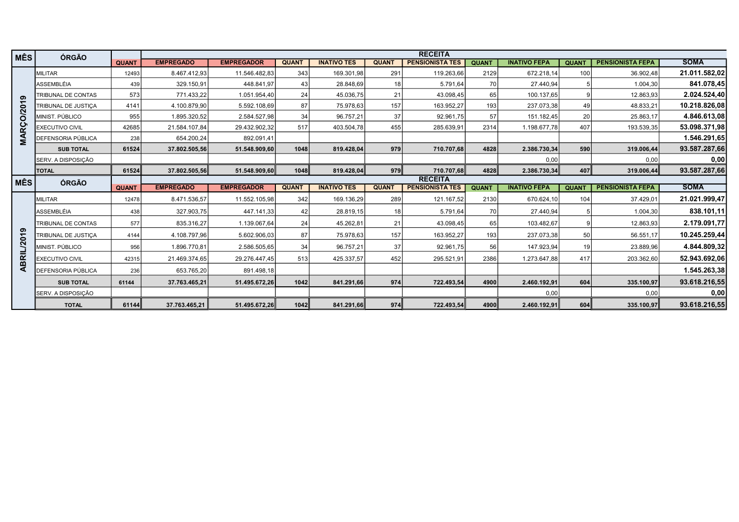| <b>MÊS</b>    | <b>ÓRGÃO</b>               |              |                  |                   |              |                    |              | <b>RECEITA</b>         |              |                     |                 |                         |               |
|---------------|----------------------------|--------------|------------------|-------------------|--------------|--------------------|--------------|------------------------|--------------|---------------------|-----------------|-------------------------|---------------|
|               |                            | <b>QUANT</b> | <b>EMPREGADO</b> | <b>EMPREGADOR</b> | <b>QUANT</b> | <b>INATIVO TES</b> | <b>QUANT</b> | <b>PENSIONISTA TES</b> | <b>QUANT</b> | <b>INATIVO FEPA</b> | <b>QUANT</b>    | <b>PENSIONISTA FEPA</b> | <b>SOMA</b>   |
|               | <b>MILITAR</b>             | 12493        | 8.467.412,93     | 11.546.482,83     | 343          | 169.301,98         | 291          | 119.263,66             | 2129         | 672.218,14          | 100             | 36.902.48               | 21.011.582,02 |
|               | <b>ASSEMBLÉIA</b>          | 439          | 329.150,91       | 448.841,97        | 43           | 28.848,69          | 18           | 5.791,64               | 70           | 27.440,94           |                 | 1.004,30                | 841.078,45    |
| ග             | TRIBUNAL DE CONTAS         | 573          | 771.433,22       | 1.051.954,40      | 24           | 45.036,75          | 21           | 43.098,45              | 65           | 100.137,65          |                 | 12.863,93               | 2.024.524,40  |
| $\div$        | <b>TRIBUNAL DE JUSTICA</b> | 4141         | 4.100.879,90     | 5.592.108.69      | 87           | 75.978.63          | 157          | 163.952,27             | 193          | 237.073.38          | 49              | 48.833.21               | 10.218.826,08 |
| <b>RCO/20</b> | MINIST. PÚBLICO            | 955          | 1.895.320,52     | 2.584.527,98      | 34           | 96.757,21          | 37           | 92.961,75              | 57           | 151.182,45          | 20 <sub>1</sub> | 25.863,17               | 4.846.613,08  |
|               | <b>EXECUTIVO CIVIL</b>     | 42685        | 21.584.107,84    | 29.432.902,32     | 517          | 403.504,78         | 455          | 285.639,91             | 2314         | 1.198.677,78        | 407             | 193.539,35              | 53.098.371,98 |
| ⋖<br>Σ        | DEFENSORIA PÚBLICA         | 238          | 654.200,24       | 892.091.41        |              |                    |              |                        |              |                     |                 |                         | 1.546.291,65  |
|               | <b>SUB TOTAL</b>           | 61524        | 37.802.505,56    | 51.548.909,60     | 1048         | 819.428.04         | 979          | 710.707,68             | 4828         | 2.386.730,34        | 590             | 319.006,44              | 93.587.287,66 |
|               | SERV. A DISPOSIÇÃO         |              |                  |                   |              |                    |              |                        |              | 0.00                |                 | 0.00                    | 0,00          |
|               | <b>TOTAL</b>               | 61524        | 37.802.505,56    | 51.548.909,60     | 1048         | 819.428,04         | 979          | 710.707,68             | 4828         | 2.386.730,34        | 407             | 319.006,44              | 93.587.287,66 |
| <b>MÊS</b>    | ÓRGÃO                      |              |                  |                   |              |                    |              | <b>RECEITA</b>         |              |                     |                 |                         |               |
|               |                            | <b>QUANT</b> | <b>EMPREGADO</b> | <b>EMPREGADOR</b> | <b>QUANT</b> | <b>INATIVO TES</b> | <b>QUANT</b> | <b>PENSIONISTA TES</b> | <b>QUANT</b> | <b>INATIVO FEPA</b> | <b>QUANT</b>    | <b>PENSIONISTA FEPA</b> | <b>SOMA</b>   |
|               | <b>MILITAR</b>             | 12478        | 8.471.536,57     | 11.552.105,98     | 342          | 169.136,29         | 289          | 121.167,52             | 2130         | 670.624,10          | 104             | 37.429,01               | 21.021.999,47 |
|               | ASSEMBLÉIA                 | 438          | 327.903,75       | 447.141,33        | 42           | 28.819,15          | 18           | 5.791,64               | 70           | 27.440,94           |                 | 1.004,30                | 838.101,11    |
|               | TRIBUNAL DE CONTAS         | 577          | 835.316,27       | 1.139.067,64      | 24           | 45.262,81          | 21           | 43.098,45              | 65           | 103.482,67          |                 | 12.863.93               | 2.179.091,77  |
| ၈             | <b>TRIBUNAL DE JUSTICA</b> | 4144         | 4.108.797,96     | 5.602.906.03      | 87           | 75.978.63          | 157          | 163.952.27             | 193          | 237.073.38          | 50              | 56.551.17               | 10.245.259,44 |
| /201          | MINIST, PÚBLICO            | 956          | 1.896.770.81     | 2.586.505.65      | 34           | 96.757.21          | 37           | 92.961,75              | 56           | 147.923.94          | 19              | 23.889.96               | 4.844.809,32  |
| ABRI          | <b>EXECUTIVO CIVIL</b>     | 42315        | 21.469.374,65    | 29.276.447,45     | 513          | 425.337,57         | 452          | 295.521,91             | 2386         | 1.273.647,88        | 417             | 203.362,60              | 52.943.692,06 |
|               | DEFENSORIA PÚBLICA         | 236          | 653.765,20       | 891.498,18        |              |                    |              |                        |              |                     |                 |                         | 1.545.263,38  |
|               | <b>SUB TOTAL</b>           | 61144        | 37.763.465.21    | 51.495.672,26     | 1042         | 841.291,66         | 974          | 722.493,54             | 4900         | 2.460.192,91        | 604             | 335.100,97              | 93.618.216,55 |
|               | SERV. A DISPOSIÇÃO         |              |                  |                   |              |                    |              |                        |              | 0,00                |                 | 0,00                    | 0,00          |
|               | <b>TOTAL</b>               | 61144        | 37.763.465,21    | 51.495.672,26     | 1042         | 841.291,66         | 974          | 722.493,54             | 4900         | 2.460.192,91        | 604             | 335.100,97              | 93.618.216,55 |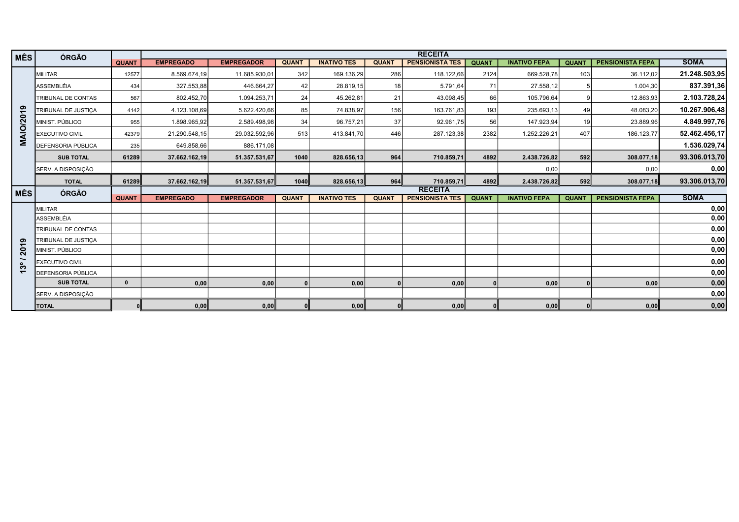| <b>MÊS</b>               | <b>ÓRGÃO</b>              |              |                  |                   |              |                    |                 | <b>RECEITA</b>         |              |                     |              |                         |               |
|--------------------------|---------------------------|--------------|------------------|-------------------|--------------|--------------------|-----------------|------------------------|--------------|---------------------|--------------|-------------------------|---------------|
|                          |                           | <b>QUANT</b> | <b>EMPREGADO</b> | <b>EMPREGADOR</b> | <b>QUANT</b> | <b>INATIVO TES</b> | <b>QUANT</b>    | <b>PENSIONISTA TES</b> | <b>QUANT</b> | <b>INATIVO FEPA</b> | <b>QUANT</b> | <b>PENSIONISTA FEPA</b> | <b>SOMA</b>   |
|                          | <b>IMILITAR</b>           | 12577        | 8.569.674,19     | 11.685.930,01     | 342          | 169.136,29         | 286             | 118.122,66             | 2124         | 669.528,78          | 103          | 36.112,02               | 21.248.503,95 |
|                          | <b>ASSEMBLÉIA</b>         | 434          | 327.553,88       | 446.664,27        | 42           | 28.819,15          | 18 <sup>1</sup> | 5.791,64               | 71           | 27.558,12           |              | 1.004,30                | 837.391,36    |
|                          | TRIBUNAL DE CONTAS        | 567          | 802.452,70       | 1.094.253,71      | 24           | 45.262,81          | 21              | 43.098,45              | 66           | 105.796,64          |              | 12.863,93               | 2.103.728,24  |
|                          | TRIBUNAL DE JUSTIÇA       | 4142         | 4.123.108,69     | 5.622.420,66      | 85           | 74.838,97          | 156             | 163.761,83             | 193          | 235.693,13          | 49           | 48.083,20               | 10.267.906,48 |
| AIO/2019                 | MINIST. PÚBLICO           | 955          | 1.898.965,92     | 2.589.498,98      | 34           | 96.757,21          | 37              | 92.961,75              | 56           | 147.923,94          | 19           | 23.889,96               | 4.849.997,76  |
|                          | <b>EXECUTIVO CIVIL</b>    | 42379        | 21.290.548,15    | 29.032.592,96     | 513          | 413.841,70         | 446             | 287.123,38             | 2382         | 1.252.226,21        | 407          | 186.123,77              | 52.462.456,17 |
| Σ                        | DEFENSORIA PÚBLICA        | 235          | 649.858,66       | 886.171,08        |              |                    |                 |                        |              |                     |              |                         | 1.536.029,74  |
|                          | <b>SUB TOTAL</b>          | 61289        | 37.662.162,19    | 51.357.531,67     | 1040         | 828.656,13         | 964             | 710.859,71             | 4892         | 2.438.726,82        | 592          | 308.077,18              | 93.306.013,70 |
|                          | SERV. A DISPOSIÇÃO        |              |                  |                   |              |                    |                 |                        |              | 0,00                |              | 0,00                    | 0,00          |
|                          | <b>TOTAL</b>              | 61289        | 37.662.162,19    | 51.357.531,67     | 1040         | 828.656,13         | 964             | 710.859,71             | 4892         | 2.438.726,82        | 592          | 308.077,18              | 93.306.013,70 |
| MÊS                      | ÓRGÃO                     |              |                  |                   |              |                    |                 | <b>RECEITA</b>         |              |                     |              |                         |               |
|                          |                           | <b>QUANT</b> | <b>EMPREGADO</b> | <b>EMPREGADOR</b> | <b>QUANT</b> | <b>INATIVO TES</b> | <b>QUANT</b>    | <b>PENSIONISTA TES</b> | <b>QUANT</b> | <b>INATIVO FEPA</b> | <b>QUANT</b> | <b>PENSIONISTA FEPA</b> | <b>SOMA</b>   |
|                          | <b>MILITAR</b>            |              |                  |                   |              |                    |                 |                        |              |                     |              |                         | 0,00          |
|                          | <b>ASSEMBLÉIA</b>         |              |                  |                   |              |                    |                 |                        |              |                     |              |                         | 0,00          |
|                          | TRIBUNAL DE CONTAS        |              |                  |                   |              |                    |                 |                        |              |                     |              |                         | 0,00          |
| စာ                       | TRIBUNAL DE JUSTICA       |              |                  |                   |              |                    |                 |                        |              |                     |              |                         | 0,00          |
| 201                      | MINIST. PÚBLICO           |              |                  |                   |              |                    |                 |                        |              |                     |              |                         | 0,00          |
| ွိ                       | <b>EXECUTIVO CIVIL</b>    |              |                  |                   |              |                    |                 |                        |              |                     |              |                         | 0,00          |
| $\overline{\phantom{0}}$ | <b>DEFENSORIA PÚBLICA</b> |              |                  |                   |              |                    |                 |                        |              |                     |              |                         | 0,00          |
|                          | <b>SUB TOTAL</b>          | $\mathbf{0}$ | 0,00             | 0,00              |              | 0,00               |                 | 0,00                   |              | 0,00                |              | 0,00                    | 0,00          |
|                          | SERV. A DISPOSIÇÃO        |              |                  |                   |              |                    |                 |                        |              |                     |              |                         | 0,00          |
|                          | <b>TOTAL</b>              |              | 0,00             | 0,00              |              | 0,00               |                 | 0,00                   |              | 0,00                |              | 0,00                    | 0,00          |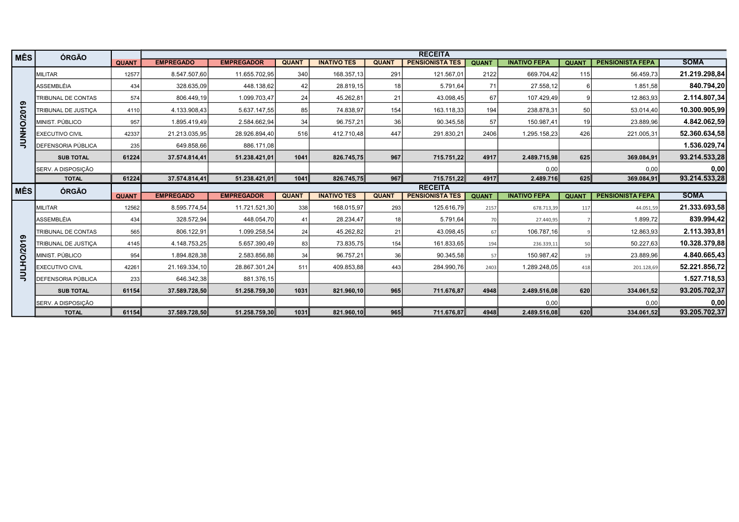| MÊS            | <b>ÓRGÃO</b>               |              |                  |                   |              |                    |              | <b>RECEITA</b>         |              |                     |              |                         |                                                                              |
|----------------|----------------------------|--------------|------------------|-------------------|--------------|--------------------|--------------|------------------------|--------------|---------------------|--------------|-------------------------|------------------------------------------------------------------------------|
|                |                            | <b>QUANT</b> | <b>EMPREGADO</b> | <b>EMPREGADOR</b> | <b>QUANT</b> | <b>INATIVO TES</b> | <b>QUANT</b> | <b>PENSIONISTA TES</b> | <b>QUANT</b> | <b>INATIVO FEPA</b> | <b>QUANT</b> | <b>PENSIONISTA FEPA</b> | <b>SOMA</b>                                                                  |
|                | <b>IMILITAR</b>            | 12577        | 8.547.507,60     | 11.655.702,95     | 340          | 168.357,13         | 291          | 121.567,01             | 2122         | 669.704,42          | <b>115</b>   | 56.459,73               | 21.219.298,84                                                                |
|                | <b>ASSEMBLÉIA</b>          | 434          | 328.635,09       | 448.138,62        | 42           | 28.819,15          | 18 I         | 5.791,64               | 71           | 27.558,12           |              | 1.851,58                | 840.794,20                                                                   |
|                | TRIBUNAL DE CONTAS         | 574          | 806.449,19       | 1.099.703,47      | 24           | 45.262,81          | 21           | 43.098,45              | 67           | 107.429,49          |              | 12.863,93               | 2.114.807,34                                                                 |
| ၈              | TRIBUNAL DE JUSTICA        | 4110         | 4.133.908,43     | 5.637.147,55      | 85           | 74.838,97          | 154          | 163.118,33             | 194          | 238.878,31          | 50           | 53.014,40               | 10.300.905,99                                                                |
| <b>NHO/201</b> | MINIST, PÚBLICO            | 957          | 1.895.419,49     | 2.584.662.94      | 34           | 96.757,21          | 36           | 90.345,58              | 57           | 150.987.41          | 19           | 23.889,96               | 4.842.062,59                                                                 |
|                | <b>EXECUTIVO CIVIL</b>     | 42337        | 21.213.035,95    | 28.926.894,40     | 516          | 412.710.48         | 447          | 291.830,21             | 2406         | 1.295.158,23        | 426          | 221.005,31              | 52.360.634,58                                                                |
| ₹              | <b>DEFENSORIA PÚBLICA</b>  | 235          | 649.858,66       | 886.171,08        |              |                    |              |                        |              |                     |              |                         | 1.536.029,74                                                                 |
|                | <b>SUB TOTAL</b>           | 61224        | 37.574.814,41    | 51.238.421,01     | 1041         | 826.745,75         | 967          | 715.751,22             | 4917         | 2.489.715,98        | 625          | 369.084,91              | 93.214.533,28                                                                |
|                | SERV. A DISPOSIÇÃO         |              |                  |                   |              |                    |              |                        |              | 0,00                |              | 0.00                    | 0,00                                                                         |
|                | <b>TOTAL</b>               | 61224        | 37.574.814,41    | 51.238.421,01     | 1041         | 826.745,75         | 967          | 715.751,22             | 4917         | 2.489.716           | 625          | 369.084,91              | 93.214.533,28                                                                |
|                |                            |              |                  |                   |              |                    |              |                        |              |                     |              |                         |                                                                              |
|                |                            |              |                  |                   |              |                    |              | <b>RECEITA</b>         |              |                     |              |                         |                                                                              |
| MÊS            | ÓRGÃO                      | <b>QUANT</b> | <b>EMPREGADO</b> | <b>EMPREGADOR</b> | <b>QUANT</b> | <b>INATIVO TES</b> | <b>QUANT</b> | <b>PENSIONISTA TES</b> | <b>QUANT</b> | <b>INATIVO FEPA</b> | <b>QUANT</b> | <b>PENSIONISTA FEPA</b> | <b>SOMA</b>                                                                  |
|                | MILITAR                    | 12562        | 8.595.774,54     | 11.721.521,30     | 338          | 168.015,97         | 293          | 125.616,79             | 2157         | 678.713,39          | 117          | 44.051,59               |                                                                              |
|                | <b>ASSEMBLÉIA</b>          | 434          | 328.572,94       | 448.054,70        | 41           | 28.234,47          | 18           | 5.791,64               | 70           | 27.440.95           |              | 1.899,72                |                                                                              |
|                | <b>TRIBUNAL DE CONTAS</b>  | 565          | 806.122,91       | 1.099.258,54      | 24           | 45.262,82          | 21           | 43.098,45              | 67           | 106.787,16          |              | 12.863,93               |                                                                              |
|                | <b>TRIBUNAL DE JUSTICA</b> | 4145         | 4.148.753,25     | 5.657.390,49      | 83           | 73.835,75          | 154          | 161.833,65             | 194          | 236.339,11          | 50           | 50.227,63               |                                                                              |
|                | MINIST. PÚBLICO            | 954          | 1.894.828,38     | 2.583.856,88      | 34           | 96.757,21          | 36           | 90.345,58              | 57           | 150.987,42          | 19           | 23.889,96               | 21.333.693,58<br>839.994,42<br>2.113.393,81<br>10.328.379,88<br>4.840.665,43 |
| LHO/2019       | <b>EXECUTIVO CIVIL</b>     | 42261        | 21.169.334,10    | 28.867.301,24     | 511          | 409.853,88         | 443          | 284.990,76             | 2403         | 1.289.248,05        | 418          | 201.128,69              | 52.221.856,72                                                                |
| ₹              | <b>DEFENSORIA PÚBLICA</b>  | 233          | 646.342,38       | 881.376.15        |              |                    |              |                        |              |                     |              |                         | 1.527.718,53                                                                 |
|                | <b>SUB TOTAL</b>           | 61154        | 37.589.728,50    | 51.258.759,30     | 1031         | 821.960,10         | 965          | 711.676,87             | 4948         | 2.489.516,08        | 620          | 334.061,52              |                                                                              |
|                | SERV. A DISPOSIÇÃO         |              |                  |                   |              |                    |              |                        |              | 0,00                |              | 0,00                    | 93.205.702,37<br>0,00<br>93.205.702,37                                       |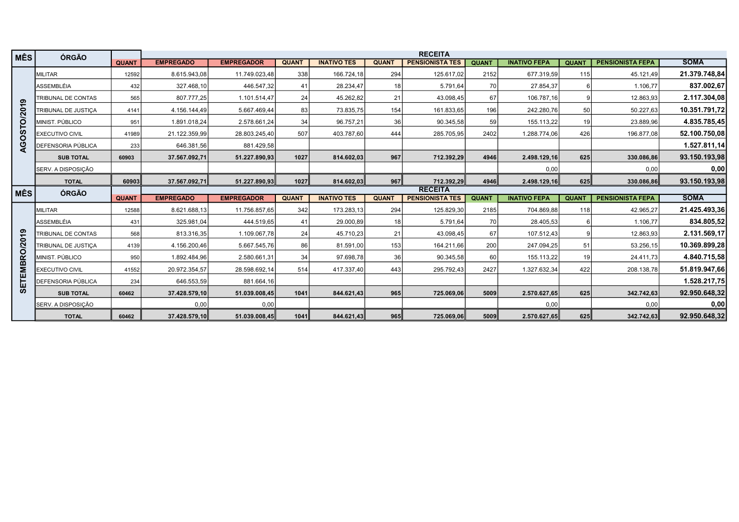| <b>MÊS</b>       | ÓRGÃO                     |              |                  |                   |              |                    |                 | <b>RECEITA</b>         |              |                     |                 |                         |               |
|------------------|---------------------------|--------------|------------------|-------------------|--------------|--------------------|-----------------|------------------------|--------------|---------------------|-----------------|-------------------------|---------------|
|                  |                           | <b>QUANT</b> | <b>EMPREGADO</b> | <b>EMPREGADOR</b> | <b>QUANT</b> | <b>INATIVO TES</b> | <b>QUANT</b>    | <b>PENSIONISTA TES</b> | <b>QUANT</b> | <b>INATIVO FEPA</b> | <b>QUANT</b>    | <b>PENSIONISTA FEPA</b> | <b>SOMA</b>   |
|                  | <b>MILITAR</b>            | 12592        | 8.615.943,08     | 11.749.023,48     | 338          | 166.724,18         | 294             | 125.617,02             | 2152         | 677.319,59          | 115             | 45.121,49               | 21.379.748,84 |
|                  | ASSEMBLÉIA                | 432          | 327.468,10       | 446.547,32        | 41           | 28.234,47          | 18              | 5.791,64               | 70           | 27.854,37           |                 | 1.106,77                | 837.002,67    |
| ග                | TRIBUNAL DE CONTAS        | 565          | 807.777,25       | 1.101.514,47      | 24           | 45.262,82          | 21              | 43.098,45              | 67           | 106.787,16          |                 | 12.863,93               | 2.117.304,08  |
|                  | TRIBUNAL DE JUSTICA       | 4141         | 4.156.144,49     | 5.667.469.44      | 83           | 73.835,75          | 154             | 161.833,65             | 196          | 242.280,76          | 50 <sub>1</sub> | 50.227,63               | 10.351.791,72 |
| GOSTO/201        | MINIST. PÚBLICO           | 951          | 1.891.018,24     | 2.578.661,24      | 34           | 96.757,21          | 36              | 90.345,58              | 59           | 155.113,22          | 19 <sup>1</sup> | 23.889,96               | 4.835.785,45  |
|                  | <b>EXECUTIVO CIVIL</b>    | 41989        | 21.122.359,99    | 28.803.245,40     | 507          | 403.787,60         | 444             | 285.705,95             | 2402         | 1.288.774,06        | 426             | 196.877,08              | 52.100.750,08 |
| ∢                | DEFENSORIA PÚBLICA        | 233          | 646.381,56       | 881.429,58        |              |                    |                 |                        |              |                     |                 |                         | 1.527.811,14  |
|                  | <b>SUB TOTAL</b>          | 60903        | 37.567.092,71    | 51.227.890,93     | 1027         | 814.602,03         | 967             | 712.392,29             | 4946         | 2.498.129,16        | 625             | 330.086,86              | 93.150.193,98 |
|                  | SERV. A DISPOSIÇÃO        |              |                  |                   |              |                    |                 |                        |              | 0,00                |                 | 0,00                    | 0,00          |
|                  | <b>TOTAL</b>              | 60903        | 37.567.092,71    | 51.227.890,93     | 1027         | 814.602,03         | 967             | 712.392,29             | 4946         | 2.498.129,16        | 625             | 330.086,86              | 93.150.193,98 |
|                  |                           |              |                  |                   |              |                    |                 |                        |              |                     |                 |                         |               |
|                  |                           |              |                  |                   |              |                    |                 | <b>RECEITA</b>         |              |                     |                 |                         |               |
| <b>MÊS</b>       | ÓRGÃO                     | <b>QUANT</b> | <b>EMPREGADO</b> | <b>EMPREGADOR</b> | <b>QUANT</b> | <b>INATIVO TES</b> | <b>QUANT</b>    | <b>PENSIONISTA TES</b> | <b>QUANT</b> | <b>INATIVO FEPA</b> | <b>QUANT</b>    | <b>PENSIONISTA FEPA</b> | <b>SOMA</b>   |
|                  | <b>MILITAR</b>            | 12588        | 8.621.688,13     | 11.756.857,65     | 342          | 173.283,13         | 294             | 125.829,30             | 2185         | 704.869,88          | 118             | 42.965,27               | 21.425.493,36 |
|                  | <b>ASSEMBLÉIA</b>         | 431          | 325.981,04       | 444.519,65        | 41           | 29.000,89          | 18 <sup>1</sup> | 5.791,64               | 70           | 28.405,53           |                 | 1.106,77                | 834.805,52    |
|                  | TRIBUNAL DE CONTAS        | 568          | 813.316,35       | 1.109.067,78      | 24           | 45.710,23          | 211             | 43.098,45              | 67           | 107.512,43          |                 | 12.863,93               | 2.131.569,17  |
|                  | TRIBUNAL DE JUSTICA       | 4139         | 4.156.200,46     | 5.667.545,76      | 86           | 81.591,00          | 153             | 164.211,66             | 200          | 247.094,25          | 51              | 53.256,15               | 10.369.899,28 |
|                  | MINIST. PÚBLICO           | 950          | 1.892.484,96     | 2.580.661,31      | 34           | 97.698,78          | 36              | 90.345,58              | 60           | 155.113,22          | 19 <sup>1</sup> | 24.411,73               | 4.840.715,58  |
| <b>MBRO/2019</b> | <b>EXECUTIVO CIVIL</b>    | 41552        | 20.972.354,57    | 28.598.692,14     | 514          | 417.337,40         | 443             | 295.792,43             | 2427         | 1.327.632,34        | 422             | 208.138,78              | 51.819.947,66 |
|                  | <b>DEFENSORIA PÚBLICA</b> | 234          | 646.553,59       | 881.664,16        |              |                    |                 |                        |              |                     |                 |                         | 1.528.217,75  |
| <b>SETEI</b>     | <b>SUB TOTAL</b>          | 60462        | 37.428.579,10    | 51.039.008,45     | 1041         | 844.621,43         | 965             | 725.069,06             | 5009         | 2.570.627,65        | 625             | 342.742,63              | 92.950.648,32 |
|                  | SERV. A DISPOSIÇÃO        |              | 0,00             | 0,00              |              |                    |                 |                        |              | 0,00                |                 | 0,00                    | 0,00          |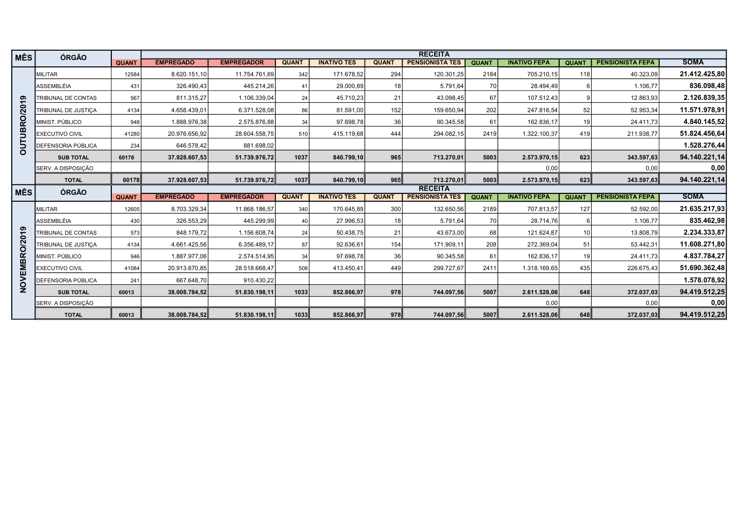| <b>MÊS</b>    | <b>ÓRGÃO</b>              |              |                  |                   |              |                    |                 | <b>RECEITA</b>         |              |                     |                 |                         |               |
|---------------|---------------------------|--------------|------------------|-------------------|--------------|--------------------|-----------------|------------------------|--------------|---------------------|-----------------|-------------------------|---------------|
|               |                           | <b>QUANT</b> | <b>EMPREGADO</b> | <b>EMPREGADOR</b> | <b>QUANT</b> | <b>INATIVO TES</b> | <b>QUANT</b>    | <b>PENSIONISTA TES</b> | <b>QUANT</b> | <b>INATIVO FEPA</b> | <b>QUANT</b>    | <b>PENSIONISTA FEPA</b> | <b>SOMA</b>   |
|               | <b>MILITAR</b>            | 12584        | 8.620.151,10     | 11.754.761,69     | 342          | 171.678,52         | 294             | 120.301,25             | 2184         | 705.210,15          | 118             | 40.323,09               | 21.412.425,80 |
|               | <b>ASSEMBLÉIA</b>         | 431          | 326.490,43       | 445.214,26        | 41           | 29.000,89          | 18 <sup>1</sup> | 5.791,64               | 70 I         | 28.494.49           |                 | 1.106,77                | 836.098,48    |
|               | TRIBUNAL DE CONTAS        | 567          | 811.315,27       | 1.106.339,04      | 24           | 45.710,23          | 211             | 43.098,45              | 67           | 107.512,43          |                 | 12.863,93               | 2.126.839,35  |
|               | TRIBUNAL DE JUSTICA       | 4134         | 4.658.439,01     | 6.371.528,08      | 86           | 81.591,00          | 152             | 159.650,94             | 202          | 247.816,54          | 52              | 52.953,34               | 11.571.978,91 |
| OUTUBRO/2019  | MINIST. PÚBLICO           | 948          | 1.888.976,38     | 2.575.876,88      | 34           | 97.698,78          | 36              | 90.345,58              | 61           | 162.836,17          | 19 <sup>1</sup> | 24.411,73               | 4.840.145,52  |
|               | <b>EXECUTIVO CIVIL</b>    | 41280        | 20.976.656,92    | 28.604.558,75     | 510          | 415.119,68         | 444             | 294.082,15             | 2419         | 1.322.100,37        | 419             | 211.938,77              | 51.824.456,64 |
|               | <b>DEFENSORIA PÚBLICA</b> | 234          | 646.578,42       | 881.698,02        |              |                    |                 |                        |              |                     |                 |                         | 1.528.276,44  |
|               | <b>SUB TOTAL</b>          | 60178        | 37.928.607,53    | 51.739.976,72     | 1037         | 840.799,10         | 965             | 713.270,01             | 5003         | 2.573.970,15        | 623             | 343.597,63              | 94.140.221,14 |
|               | SERV. A DISPOSIÇÃO        |              |                  |                   |              |                    |                 |                        |              | 0,00                |                 | 0,00                    | 0,00          |
|               | <b>TOTAL</b>              | 60178        | 37.928.607,53    | 51.739.976,72     | 1037         | 840.799,10         | 965             | 713.270,01             | 5003         | 2.573.970,15        | 623             | 343.597,63              | 94.140.221,14 |
|               |                           |              |                  |                   |              |                    |                 |                        |              |                     |                 |                         |               |
|               |                           |              |                  |                   |              |                    |                 | <b>RECEITA</b>         |              |                     |                 |                         |               |
| <b>MÊS</b>    | ÓRGÃO                     | <b>QUANT</b> | <b>EMPREGADO</b> | <b>EMPREGADOR</b> | <b>QUANT</b> | <b>INATIVO TES</b> | <b>QUANT</b>    | <b>PENSIONISTA TES</b> | <b>QUANT</b> | <b>INATIVO FEPA</b> | <b>QUANT</b>    | <b>PENSIONISTA FEPA</b> | <b>SOMA</b>   |
|               | MILITAR                   | 12605        | 8.703.329,34     | 11.868.186,57     | 340          | 170.645,89         | 300             | 132.650,56             | 2189         | 707.813,57          | 127             | 52.592,00               | 21.635.217,93 |
|               | <b>ASSEMBLÉIA</b>         | 430          | 326.553,29       | 445.299,99        | 40           | 27.996,53          | 18 <sup>1</sup> | 5.791,64               | 70 I         | 28.714,76           |                 | 1.106,77                | 835.462,98    |
|               | TRIBUNAL DE CONTAS        | 573          | 848.179,72       | 1.156.608,74      | 24           | 50.438,75          | 21              | 43.673,00              | 68           | 121.624,87          | 10 <sup>1</sup> | 13.808,79               | 2.234.333,87  |
|               | TRIBUNAL DE JUSTICA       | 4134         | 4.661.425,56     | 6.356.489,17      | 87           | 92.636,61          | 154             | 171.909,11             | 208          | 272.369,04          | 51              | 53.442,31               | 11.608.271,80 |
|               | MINIST. PÚBLICO           | 946          | 1.887.977,06     | 2.574.514,95      | 34           | 97.698,78          | 36 I            | 90.345,58              | 61           | 162.836,17          | 19 <sup>1</sup> | 24.411,73               | 4.837.784,27  |
|               | <b>EXECUTIVO CIVIL</b>    | 41084        | 20.913.670.85    | 28.518.668.47     | 508          | 413.450,41         | 449             | 299.727,67             | 2411         | 1.318.169,65        | 435             | 226.675,43              | 51.690.362,48 |
|               | <b>DEFENSORIA PÚBLICA</b> | 241          | 667.648,70       | 910.430,22        |              |                    |                 |                        |              |                     |                 |                         | 1.578.078,92  |
| NOVEMBRO/2019 | <b>SUB TOTAL</b>          | 60013        | 38.008.784,52    | 51.830.198,11     | 1033         | 852.866,97         | 978             | 744.097,56             | 5007         | 2.611.528,06        | 648             | 372.037,03              | 94.419.512,25 |
|               | SERV. A DISPOSIÇÃO        |              |                  |                   |              |                    |                 |                        |              | 0,00                |                 | 0,00                    | 0,00          |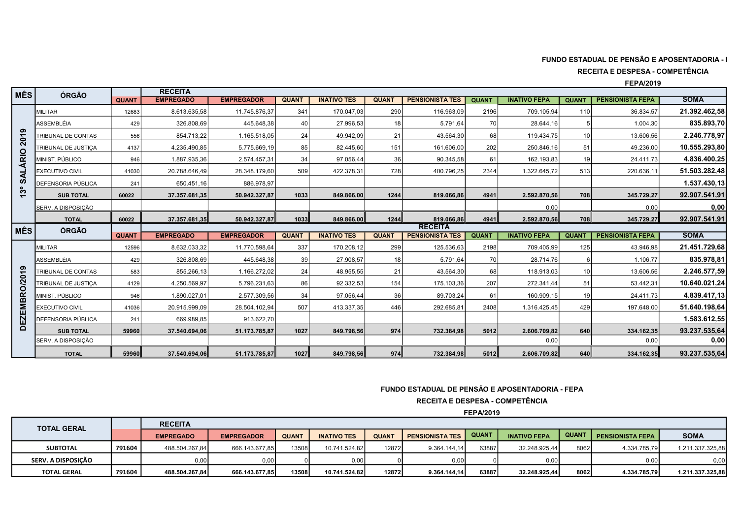## FUNDO ESTADUAL DE PENSÃO E APOSENTADORIA - I

RECEITA E DESPESA - COMPETÊNCIA

FEPA/2019

| <b>MÊS</b>     | <b>ÓRGÃO</b>           |              | <b>RECEITA</b>   |                   |              |                    |              |                                                                                           |                  |                     |                 |                         |                  |
|----------------|------------------------|--------------|------------------|-------------------|--------------|--------------------|--------------|-------------------------------------------------------------------------------------------|------------------|---------------------|-----------------|-------------------------|------------------|
|                |                        | <b>QUANT</b> | <b>EMPREGADO</b> | <b>EMPREGADOR</b> | <b>QUANT</b> | <b>INATIVO TES</b> | <b>QUANT</b> | <b>PENSIONISTA TES</b>                                                                    | <b>QUANT</b>     | <b>INATIVO FEPA</b> | <b>QUANT</b>    | <b>PENSIONISTA FEPA</b> | <b>SOMA</b>      |
|                | <b>MILITAR</b>         | 12683        | 8.613.635,58     | 11.745.876,37     | 341          | 170.047,03         | 290          | 116.963,09                                                                                | 2196             | 709.105,94          | 110             | 36.834,57               | 21.392.462.58    |
|                | ASSEMBLÉIA             | 429          | 326.808,69       | 445.648,38        | 40           | 27.996,53          | 18           | 5.791,64                                                                                  | 70               | 28.644,16           | 5 <sup>1</sup>  | 1.004,30                | 835.893,70       |
| ၈<br>201       | TRIBUNAL DE CONTAS     | 556          | 854.713,22       | 1.165.518,05      | 24           | 49.942,09          | 21           | 43.564,30                                                                                 | 68               | 119.434,75          | 10 <sup>1</sup> | 13.606,56               | 2.246.778.97     |
|                | TRIBUNAL DE JUSTICA    | 4137         | 4.235.490,85     | 5.775.669,19      | 85           | 82.445,60          | 151          | 161.606,00                                                                                | 202              | 250.846,16          | 51              | 49.236,00               | 10.555.293,80    |
|                | MINIST. PÚBLICO        | 946          | 1.887.935,36     | 2.574.457,31      | 34           | 97.056.44          | 36           | 90.345,58                                                                                 | 61               | 162.193.83          | 19 <sup>1</sup> | 24.411.73               | 4.836.400.25     |
| <b>SALÁRIO</b> | <b>EXECUTIVO CIVIL</b> | 41030        | 20.788.646,49    | 28.348.179,60     | 509          | 422.378,31         | 728          | 400.796,25                                                                                | 2344             | 1.322.645,72        | 513             | 220.636,11              | 51.503.282,48    |
|                | DEFENSORIA PÚBLICA     | 241          | 650.451,16       | 886.978.97        |              |                    |              |                                                                                           |                  |                     |                 |                         | 1.537.430,13     |
| ೢ              | <b>SUB TOTAL</b>       | 60022        | 37.357.681,35    | 50.942.327,87     | 1033         | 849.866,00         | 1244         | 819.066,86                                                                                | 4941             | 2.592.870,56        | 708             | 345.729,27              | 92.907.541,91    |
|                | SERV. A DISPOSIÇÃO     |              |                  |                   |              |                    |              |                                                                                           |                  | 0.00                |                 | 0,00                    | 0,00             |
|                | <b>TOTAL</b>           | 60022        | 37.357.681,35    | 50.942.327,87     | 1033         | 849.866,00         | 1244         | 819.066,86                                                                                | 4941             | 2.592.870,56        | 708             | 345.729,27              | 92.907.541,91    |
| <b>IMÊS</b>    | ÓRGÃO                  |              |                  |                   |              |                    |              | <b>RECEITA</b>                                                                            |                  |                     |                 |                         |                  |
|                |                        | <b>QUANT</b> | <b>EMPREGADO</b> | <b>EMPREGADOR</b> | <b>QUANT</b> | <b>INATIVO TES</b> | <b>QUANT</b> | <b>PENSIONISTA TES</b>                                                                    | <b>QUANT</b>     | <b>INATIVO FEPA</b> | <b>QUANT</b>    | <b>PENSIONISTA FEPA</b> | <b>SOMA</b>      |
|                | <b>MILITAR</b>         | 12596        | 8.632.033,32     | 11.770.598,64     | 337          | 170.208,12         | 299          | 125.536,63                                                                                | 2198             | 709.405,99          | 125             | 43.946,98               | 21.451.729,68    |
|                | ASSEMBLÉIA             | 429          | 326.808,69       | 445.648,38        | 39           | 27.908,57          | 18           | 5.791,64                                                                                  | 70               | 28.714,76           | $6 \mid$        | 1.106,77                | 835.978,81       |
| ၜ              | TRIBUNAL DE CONTAS     | 583          | 855.266,13       | 1.166.272,02      | 24           | 48.955,55          | 21           | 43.564,30                                                                                 | 68               | 118.913,03          | 10 <sub>l</sub> | 13.606,56               | 2.246.577,59     |
| EZEMBRO/201    | TRIBUNAL DE JUSTICA    | 4129         | 4.250.569,97     | 5.796.231,63      | 86           | 92.332,53          | 154          | 175.103,36                                                                                | 207              | 272.341,44          | 51              | 53.442,31               | 10.640.021,24    |
|                | MINIST. PÚBLICO        | 946          | 1.890.027,01     | 2.577.309,56      | 34           | 97.056,44          | 36           | 89.703,24                                                                                 | 61               | 160.909,15          | 19              | 24.411,73               | 4.839.417,13     |
|                | <b>EXECUTIVO CIVIL</b> | 41036        | 20.915.999,09    | 28.504.102,94     | 507          | 413.337,35         | 446          | 292.685,81                                                                                | 2408             | 1.316.425,45        | 429             | 197.648,00              | 51.640.198.64    |
|                | DEFENSORIA PÚBLICA     | 241          | 669.989,85       | 913.622,70        |              |                    |              |                                                                                           |                  |                     |                 |                         | 1.583.612,55     |
| ō              | <b>SUB TOTAL</b>       | 59960        | 37.540.694,06    | 51.173.785,87     | 1027         | 849.798,56         | 974          | 732.384,98                                                                                | 5012             | 2.606.709,82        | 640             | 334.162,35              | 93.237.535,64    |
|                | SERV. A DISPOSIÇÃO     |              |                  |                   |              |                    |              |                                                                                           |                  | 0,00                |                 | 0,00                    | 0,00             |
|                | <b>TOTAL</b>           | 59960        | 37.540.694,06    | 51.173.785,87     | 1027         | 849.798,56         | 974          | 732.384,98                                                                                | 5012             | 2.606.709,82        | 640             | 334.162,35              | 93.237.535,64    |
|                |                        |              |                  |                   |              |                    |              | FUNDO ESTADUAL DE PENSÃO E APOSENTADORIA - FEPA<br><b>RECEITA E DESPESA - COMPETÊNCIA</b> | <b>FEPA/2019</b> |                     |                 |                         |                  |
|                | <b>TOTAL GERAL</b>     |              | <b>RECEITA</b>   |                   |              |                    |              |                                                                                           |                  |                     |                 |                         |                  |
|                |                        |              | <b>EMPREGADO</b> | <b>EMPREGADOR</b> | <b>QUANT</b> | <b>INATIVO TES</b> | <b>QUANT</b> | <b>PENSIONISTA TES</b>                                                                    | <b>QUANT</b>     | <b>INATIVO FEPA</b> | <b>QUANT</b>    | <b>PENSIONISTA FEPA</b> | <b>SOMA</b>      |
|                | <b>SUBTOTAL</b>        | 791604       | 488.504.267,84   | 666.143.677,85    | 13508        | 10.741.524,82      | 12872        | 9.364.144,14                                                                              | 63887            | 32.248.925,44       | 8062            | 4.334.785,79            | 1.211.337.325,88 |
|                | SERV. A DISPOSIÇÃO     |              | 0,00             | 0,00              |              | 0,00               |              | 0,00                                                                                      |                  | 0,00                |                 | 0.00                    | 0,00             |
|                | <b>TOTAL GERAL</b>     | 791604       | 488.504.267,84   | 666.143.677,85    | 13508        | 10.741.524,82      | 12872        | 9.364.144,14                                                                              | 63887            | 32.248.925,44       | 8062            | 4.334.785,79            | 1.211.337.325,88 |

## FUNDO ESTADUAL DE PENSÃO E APOSENTADORIA - FEPA

| <b>TOTAL GERAL</b> |        | <b>RECEITA</b>   |                   |              |                    |             |                        |              |                     |              |                         |                  |
|--------------------|--------|------------------|-------------------|--------------|--------------------|-------------|------------------------|--------------|---------------------|--------------|-------------------------|------------------|
|                    |        | <b>EMPREGADO</b> | <b>EMPREGADOR</b> | <b>QUANT</b> | <b>INATIVO TES</b> | <b>QUAN</b> | <b>PENSIONISTA TES</b> | <b>QUANT</b> | <b>INATIVO FEPA</b> | <b>QUANT</b> | <b>PENSIONISTA FEPA</b> | <b>SOMA</b>      |
| <b>SUBTOTAL</b>    | 791604 | 488.504.267.84   | 666.143.677.85    | 13508        | 10.741.524.82      | 12872       | 9.364.144.14           | 63887        | 32.248.925.44       | 8062         | 4.334.785.79            | 1.211.337.325,88 |
| SERV. A DISPOSICÃO |        | 0.00             | 0,00              |              | 0,00               |             | 0,00                   |              | 0,00                |              | 0.00                    | 0,00             |
| <b>TOTAL GERAL</b> | 791604 | 488.504.267.84   | 666.143.677.85    | 13508        | 10.741.524.82      | 128721      | 9.364.144.14           | 63887        | 32.248.925.44       | 8062         | 4.334.785.79            | 1.211.337.325.88 |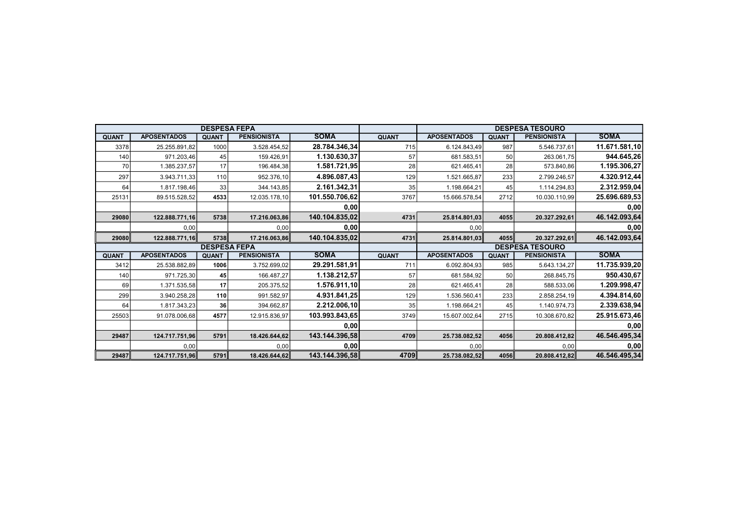|              |                    | <b>DESPESA FEPA</b> |                    |                |              |                    |              | <b>DESPESA TESOURO</b> |               |
|--------------|--------------------|---------------------|--------------------|----------------|--------------|--------------------|--------------|------------------------|---------------|
| <b>QUANT</b> | <b>APOSENTADOS</b> | <b>QUANT</b>        | <b>PENSIONISTA</b> | <b>SOMA</b>    | <b>QUANT</b> | <b>APOSENTADOS</b> | <b>QUANT</b> | <b>PENSIONISTA</b>     | <b>SOMA</b>   |
| 3378         | 25.255.891,82      | 1000                | 3.528.454,52       | 28.784.346,34  | 715          | 6.124.843,49       | 987          | 5.546.737,61           | 11.671.581,10 |
| 140          | 971.203,46         | 45                  | 159.426,91         | 1.130.630,37   | 57           | 681.583,51         | 50           | 263.061,75             | 944.645,26    |
| 70           | 1.385.237,57       | 17                  | 196.484,38         | 1.581.721,95   | 28           | 621.465,41         | 28           | 573.840,86             | 1.195.306,27  |
| 297          | 3.943.711,33       | 110                 | 952.376,10         | 4.896.087,43   | 129          | 1.521.665,87       | 233          | 2.799.246,57           | 4.320.912,44  |
| 64           | 1.817.198,46       | 33                  | 344.143,85         | 2.161.342,31   | 35           | 1.198.664,21       | 45           | 1.114.294,83           | 2.312.959,04  |
| 25131        | 89.515.528,52      | 4533                | 12.035.178,10      | 101.550.706,62 | 3767         | 15.666.578,54      | 2712         | 10.030.110,99          | 25.696.689,53 |
|              |                    |                     |                    | 0,00           |              |                    |              |                        | 0,00          |
| 29080        | 122.888.771,16     | 5738                | 17.216.063,86      | 140.104.835,02 | 4731         | 25.814.801,03      | 4055         | 20.327.292,61          | 46.142.093,64 |
|              | 0,00               |                     | 0,00               | 0,00           |              | 0,00               |              |                        | 0,00          |
| 29080        | 122.888.771,16     | 5738                | 17.216.063,86      | 140.104.835,02 | 4731         | 25.814.801,03      | 4055         | 20.327.292,61          | 46.142.093,64 |
|              |                    |                     |                    |                |              |                    |              |                        |               |
|              |                    | <b>DESPESA FEPA</b> |                    |                |              |                    |              | <b>DESPESA TESOURO</b> |               |
| <b>QUANT</b> | <b>APOSENTADOS</b> | <b>QUANT</b>        | <b>PENSIONISTA</b> | <b>SOMA</b>    | <b>QUANT</b> | <b>APOSENTADOS</b> | <b>QUANT</b> | <b>PENSIONISTA</b>     | <b>SOMA</b>   |
| 3412         | 25.538.882,89      | 1006                | 3.752.699,02       | 29.291.581,91  | 711          | 6.092.804,93       | 985          | 5.643.134,27           | 11.735.939,20 |
| 140          | 971.725,30         | 45                  | 166.487,27         | 1.138.212,57   | 57           | 681.584,92         | 50           | 268.845,75             | 950.430,67    |
| 69           | 1.371.535,58       | 17                  | 205.375,52         | 1.576.911,10   | 28           | 621.465,41         | 28           | 588.533,06             | 1.209.998,47  |
| 299          | 3.940.258,28       | 110                 | 991.582,97         | 4.931.841,25   | 129          | 1.536.560,41       | 233          | 2.858.254,19           | 4.394.814,60  |
| 64           | 1.817.343,23       | 36                  | 394.662,87         | 2.212.006,10   | 35           | 1.198.664,21       | 45           | 1.140.974,73           | 2.339.638,94  |
| 25503        | 91.078.006,68      | 4577                | 12.915.836,97      | 103.993.843,65 | 3749         | 15.607.002,64      | 2715         | 10.308.670,82          | 25.915.673,46 |
|              |                    |                     |                    | 0,00           |              |                    |              |                        | 0,00          |
| 29487        | 124.717.751,96     | 5791                | 18.426.644,62      | 143.144.396,58 | 4709         | 25.738.082,52      | 4056         | 20.808.412,82          | 46.546.495,34 |
|              | 0,00               |                     | 0,00               | 0,00           |              | 0,00               |              | 0,00                   | 0,00          |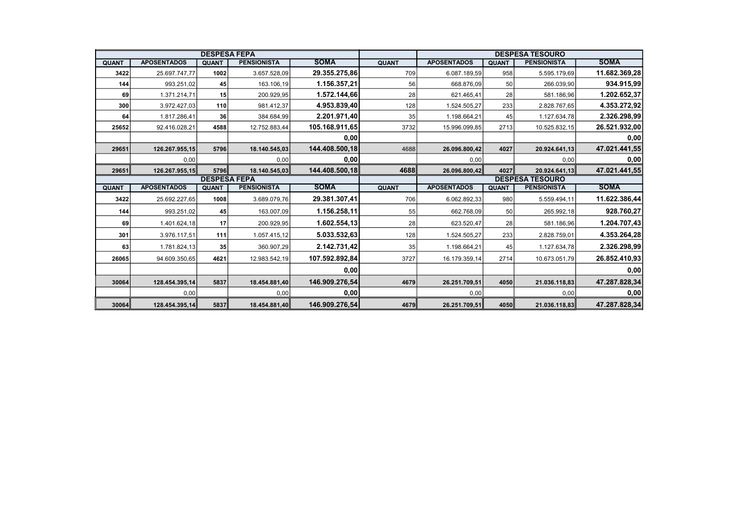|              |                    | <b>DESPESA FEPA</b> |                    |                |              |                    |              | <b>DESPESA TESOURO</b> |               |
|--------------|--------------------|---------------------|--------------------|----------------|--------------|--------------------|--------------|------------------------|---------------|
| <b>QUANT</b> | <b>APOSENTADOS</b> | <b>QUANT</b>        | <b>PENSIONISTA</b> | <b>SOMA</b>    | <b>QUANT</b> | <b>APOSENTADOS</b> | <b>QUANT</b> | <b>PENSIONISTA</b>     | <b>SOMA</b>   |
| 3422         | 25.697.747,77      | 1002                | 3.657.528,09       | 29.355.275,86  | 709          | 6.087.189,59       | 958          | 5.595.179,69           | 11.682.369,28 |
| 144          | 993.251,02         | 45                  | 163.106,19         | 1.156.357,21   | 56           | 668.876,09         | 50           | 266.039,90             | 934.915,99    |
| 69           | 1.371.214,71       | 15                  | 200.929,95         | 1.572.144,66   | 28           | 621.465,41         | 28           | 581.186,96             | 1.202.652,37  |
| 300          | 3.972.427,03       | 110                 | 981.412,37         | 4.953.839,40   | 128          | 1.524.505,27       | 233          | 2.828.767,65           | 4.353.272,92  |
| 64           | 1.817.286,41       | 36                  | 384.684,99         | 2.201.971,40   | 35           | 1.198.664,21       | 45           | 1.127.634,78           | 2.326.298,99  |
| 25652        | 92.416.028,21      | 4588                | 12.752.883,44      | 105.168.911,65 | 3732         | 15.996.099,85      | 2713         | 10.525.832,15          | 26.521.932,00 |
|              |                    |                     |                    | 0,00           |              |                    |              |                        | 0,00          |
| 29651        | 126.267.955,15     | 5796                | 18.140.545,03      | 144.408.500,18 | 4688         | 26.096.800,42      | 4027         | 20.924.641,13          | 47.021.441,55 |
|              | 0,00               |                     | 0,00               | 0,00           |              | 0,00               |              | 0,00                   | 0,00          |
| 29651        | 126.267.955,15     | 5796                | 18.140.545,03      | 144.408.500,18 | 4688         | 26.096.800,42      | 4027         | 20.924.641,13          | 47.021.441,55 |
|              |                    | <b>DESPESA FEPA</b> |                    |                |              |                    |              | <b>DESPESA TESOURO</b> |               |
| <b>QUANT</b> | <b>APOSENTADOS</b> | <b>QUANT</b>        | <b>PENSIONISTA</b> | <b>SOMA</b>    | <b>QUANT</b> | <b>APOSENTADOS</b> | <b>QUANT</b> | <b>PENSIONISTA</b>     | <b>SOMA</b>   |
| 3422         | 25.692.227,65      | 1008                | 3.689.079.76       | 29.381.307,41  | 706          | 6.062.892,33       | 980          | 5.559.494,11           | 11.622.386,44 |
| 144          | 993.251,02         | 45                  | 163.007,09         | 1.156.258,11   | 55           | 662.768,09         | 50           | 265.992,18             | 928.760,27    |
| 69           | 1.401.624,18       | 17                  | 200.929,95         | 1.602.554,13   | 28           | 623.520,47         | 28           | 581.186,96             | 1.204.707,43  |
| 301          | 3.976.117,51       | 111                 | 1.057.415,12       | 5.033.532,63   | 128          | 1.524.505,27       | 233          | 2.828.759,01           | 4.353.264,28  |
| 63           | 1.781.824,13       | 35                  | 360.907,29         | 2.142.731,42   | 35           | 1.198.664,21       | 45           | 1.127.634,78           | 2.326.298,99  |
| 26065        | 94.609.350,65      | 4621                | 12.983.542,19      | 107.592.892,84 | 3727         | 16.179.359,14      | 2714         | 10.673.051,79          | 26.852.410,93 |
|              |                    |                     |                    | 0,00           |              |                    |              |                        | 0,00          |
| 30064        | 128.454.395,14     | 5837                | 18.454.881,40      | 146.909.276,54 | 4679         | 26.251.709,51      | 4050         | 21.036.118,83          | 47.287.828,34 |
|              | 0,00               |                     | 0,00               | 0,00           |              | 0,00               |              | 0,00                   | 0,00          |
| 30064        | 128.454.395,14     | 5837                | 18.454.881,40      | 146.909.276,54 | 4679         | 26.251.709,51      | 4050         | 21.036.118,83          | 47.287.828,34 |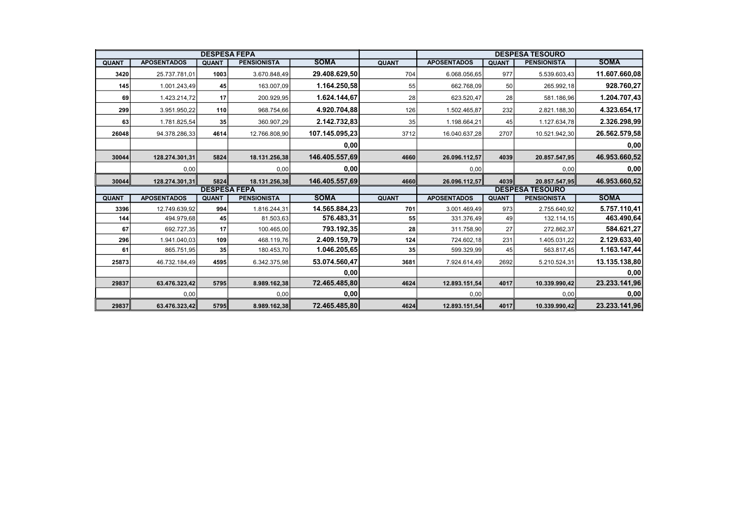|              |                    | <b>DESPESA FEPA</b> |                    |                |              |                    |              | <b>DESPESA TESOURO</b> |               |
|--------------|--------------------|---------------------|--------------------|----------------|--------------|--------------------|--------------|------------------------|---------------|
| <b>QUANT</b> | <b>APOSENTADOS</b> | <b>QUANT</b>        | <b>PENSIONISTA</b> | <b>SOMA</b>    | <b>QUANT</b> | <b>APOSENTADOS</b> | <b>QUANT</b> | <b>PENSIONISTA</b>     | <b>SOMA</b>   |
| 3420         | 25.737.781,01      | 1003                | 3.670.848,49       | 29.408.629,50  | 704          | 6.068.056,65       | 977          | 5.539.603,43           | 11.607.660,08 |
| 145          | 1.001.243,49       | 45                  | 163.007,09         | 1.164.250,58   | 55           | 662.768,09         | 50           | 265.992,18             | 928.760,27    |
| 69           | 1.423.214,72       | 17                  | 200.929,95         | 1.624.144,67   | 28           | 623.520,47         | 28           | 581.186,96             | 1.204.707,43  |
| 299          | 3.951.950,22       | 110                 | 968.754,66         | 4.920.704,88   | 126          | 1.502.465,87       | 232          | 2.821.188,30           | 4.323.654,17  |
| 63           | 1.781.825,54       | 35                  | 360.907,29         | 2.142.732,83   | 35           | 1.198.664,21       | 45           | 1.127.634,78           | 2.326.298,99  |
| 26048        | 94.378.286,33      | 4614                | 12.766.808,90      | 107.145.095,23 | 3712         | 16.040.637,28      | 2707         | 10.521.942,30          | 26.562.579,58 |
|              |                    |                     |                    | 0,00           |              |                    |              |                        | 0,00          |
| 30044        | 128.274.301,31     | 5824                | 18.131.256,38      | 146.405.557,69 | 4660         | 26.096.112,57      | 4039         | 20.857.547,95          | 46.953.660,52 |
|              | 0,00               |                     | 0,00               | 0,00           |              | 0,00               |              | 0,00                   | 0,00          |
| 30044        | 128.274.301,31     | 5824                | 18.131.256,38      | 146.405.557,69 | 4660         | 26.096.112,57      | 4039         | 20.857.547,95          | 46.953.660,52 |
|              |                    | <b>DESPESA FEPA</b> |                    |                |              |                    |              | <b>DESPESA TESOURO</b> |               |
| <b>QUANT</b> | <b>APOSENTADOS</b> | <b>QUANT</b>        | <b>PENSIONISTA</b> | <b>SOMA</b>    | <b>QUANT</b> | <b>APOSENTADOS</b> | <b>QUANT</b> | <b>PENSIONISTA</b>     | <b>SOMA</b>   |
| 3396         | 12.749.639,92      | 994                 | 1.816.244,31       | 14.565.884,23  | 701          | 3.001.469,49       | 973          | 2.755.640,92           | 5.757.110,41  |
| 144          | 494.979,68         | 45                  | 81.503,63          | 576.483,31     | 55           | 331.376,49         | 49           | 132.114,15             | 463.490,64    |
| 67           | 692.727,35         | 17                  | 100.465,00         | 793.192,35     | 28           | 311.758,90         | 27           | 272.862,37             | 584.621,27    |
| 296          | 1.941.040,03       | 109                 | 468.119,76         | 2.409.159,79   | 124          | 724.602,18         | 231          | 1.405.031,22           | 2.129.633,40  |
| 61           | 865.751,95         | 35                  | 180.453,70         | 1.046.205,65   | 35           | 599.329,99         | 45           | 563.817,45             | 1.163.147,44  |
| 25873        | 46.732.184,49      | 4595                | 6.342.375,98       | 53.074.560,47  | 3681         | 7.924.614,49       | 2692         | 5.210.524,31           | 13.135.138,80 |
|              |                    |                     |                    | 0,00           |              |                    |              |                        | 0,00          |
| 29837        | 63.476.323,42      | 5795                | 8.989.162,38       | 72.465.485,80  | 4624         | 12.893.151,54      | 4017         | 10.339.990,42          | 23.233.141,96 |
|              | 0,00               |                     | 0,00               | 0,00           |              | 0,00               |              | 0,00                   | 0,00          |
| 29837        | 63.476.323,42      | 5795                | 8.989.162,38       | 72.465.485,80  | 4624         | 12.893.151,54      | 4017         | 10.339.990,42          | 23.233.141,96 |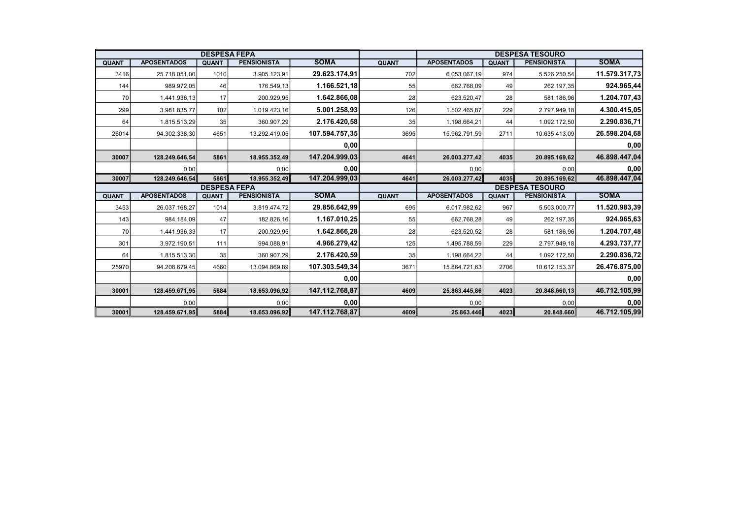|              |                    | <b>DESPESA FEPA</b> |                    |                |              |                    |              | <b>DESPESA TESOURO</b> |                                       |
|--------------|--------------------|---------------------|--------------------|----------------|--------------|--------------------|--------------|------------------------|---------------------------------------|
| <b>QUANT</b> | <b>APOSENTADOS</b> | <b>QUANT</b>        | <b>PENSIONISTA</b> | <b>SOMA</b>    | <b>QUANT</b> | <b>APOSENTADOS</b> | <b>QUANT</b> | <b>PENSIONISTA</b>     | <b>SOMA</b>                           |
| 3416         | 25.718.051,00      | 1010                | 3.905.123,91       | 29.623.174,91  | 702          | 6.053.067,19       | 974          | 5.526.250,54           | 11.579.317,73                         |
| 144          | 989.972,05         | 46                  | 176.549,13         | 1.166.521,18   | 55           | 662.768,09         | 49           | 262.197,35             | 924.965,44                            |
| 70           | 1.441.936,13       | 17                  | 200.929,95         | 1.642.866,08   | 28           | 623.520,47         | 28           | 581.186,96             | 1.204.707,43                          |
| 299          | 3.981.835,77       | 102                 | 1.019.423,16       | 5.001.258,93   | 126          | 1.502.465,87       | 229          | 2.797.949,18           | 4.300.415,05                          |
| 64           | 1.815.513,29       | 35                  | 360.907,29         | 2.176.420,58   | 35           | 1.198.664,21       | 44           | 1.092.172,50           | 2.290.836,71                          |
| 26014        | 94.302.338,30      | 4651                | 13.292.419,05      | 107.594.757,35 | 3695         | 15.962.791,59      | 2711         | 10.635.413,09          | 26.598.204,68                         |
|              |                    |                     |                    | 0,00           |              |                    |              |                        | 0,00                                  |
| 30007        | 128.249.646,54     | 5861                | 18.955.352,49      | 147.204.999,03 | 4641         | 26.003.277,42      | 4035         | 20.895.169,62          | 46.898.447,04                         |
|              | 0,00               |                     | 0,00               | 0,00           |              | 0.00               |              | 0,00                   | 0,00                                  |
| 30007        | 128.249.646,54     | 5861                | 18.955.352,49      | 147.204.999,03 | 4641         | 26.003.277,42      | 4035         | 20.895.169,62          | 46.898.447,04                         |
|              |                    |                     |                    |                |              |                    |              |                        |                                       |
|              |                    | <b>DESPESA FEPA</b> |                    |                |              |                    |              | <b>DESPESA TESOURO</b> |                                       |
| <b>QUANT</b> | <b>APOSENTADOS</b> | <b>QUANT</b>        | <b>PENSIONISTA</b> | <b>SOMA</b>    | <b>QUANT</b> | <b>APOSENTADOS</b> | <b>QUANT</b> | <b>PENSIONISTA</b>     | <b>SOMA</b>                           |
| 3453         | 26.037.168,27      | 1014                | 3.819.474,72       | 29.856.642,99  | 695          | 6.017.982,62       | 967          | 5.503.000,77           | 11.520.983,39                         |
| 143          | 984.184,09         | 47                  | 182.826,16         | 1.167.010,25   | 55           | 662.768,28         | 49           | 262.197,35             | 924.965,63                            |
| 70           | 1.441.936,33       | 17                  | 200.929,95         | 1.642.866,28   | 28           | 623.520,52         | 28           | 581.186,96             |                                       |
| 301          | 3.972.190,51       | 111                 | 994.088,91         | 4.966.279,42   | 125          | 1.495.788,59       | 229          | 2.797.949,18           | 4.293.737,77                          |
| 64           | 1.815.513,30       | 35                  | 360.907,29         | 2.176.420,59   | 35           | 1.198.664,22       | 44           | 1.092.172,50           | 2.290.836,72                          |
| 25970        | 94.208.679,45      | 4660                | 13.094.869,89      | 107.303.549,34 | 3671         | 15.864.721,63      | 2706         | 10.612.153,37          |                                       |
|              |                    |                     |                    | 0,00           |              |                    |              |                        | 1.204.707,48<br>26.476.875,00<br>0,00 |
| 30001        | 128.459.671,95     | 5884                | 18.653.096,92      | 147.112.768,87 | 4609         | 25.863.445,86      | 4023         | 20.848.660,13          | 46.712.105,99                         |
|              | 0,00               |                     | 0,00               | 0,00           |              | 0,00               |              | 0,00                   | 0,00                                  |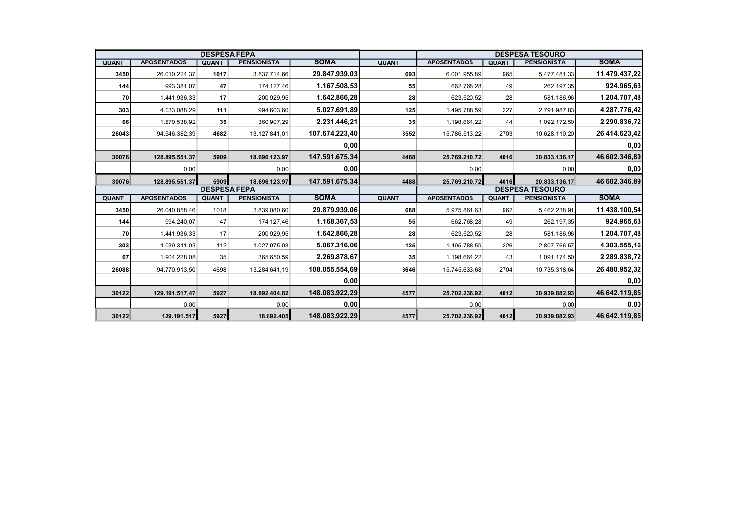| <b>DESPESA FEPA</b> |                    |                     |                    |                |              | <b>DESPESA TESOURO</b> |              |                    |               |  |
|---------------------|--------------------|---------------------|--------------------|----------------|--------------|------------------------|--------------|--------------------|---------------|--|
| <b>QUANT</b>        | <b>APOSENTADOS</b> | <b>QUANT</b>        | <b>PENSIONISTA</b> | <b>SOMA</b>    | <b>QUANT</b> | <b>APOSENTADOS</b>     | <b>QUANT</b> | <b>PENSIONISTA</b> | <b>SOMA</b>   |  |
| 3450                | 26.010.224,37      | 1017                | 3.837.714,66       | 29.847.939,03  | 693          | 6.001.955,89           | 965          | 5.477.481,33       | 11.479.437,22 |  |
| 144                 | 993.381,07         | 47                  | 174.127,46         | 1.167.508,53   | 55           | 662.768,28             | 49           | 262.197,35         | 924.965,63    |  |
| 70                  | 1.441.936,33       | 17                  | 200.929,95         | 1.642.866,28   | 28           | 623.520,52             | 28           | 581.186,96         | 1.204.707,48  |  |
| 303                 | 4.033.088,29       | 111                 | 994.603,60         | 5.027.691,89   | 125          | 1.495.788,59           | 227          | 2.791.987,83       | 4.287.776,42  |  |
| 66                  | 1.870.538,92       | 35                  | 360.907,29         | 2.231.446,21   | 35           | 1.198.664,22           | 44           | 1.092.172,50       | 2.290.836,72  |  |
| 26043               | 94.546.382,39      | 4682                | 13.127.841,01      | 107.674.223,40 | 3552         | 15.786.513,22          | 2703         | 10.628.110,20      | 26.414.623,42 |  |
|                     |                    |                     |                    | 0,00           |              |                        |              |                    | 0,00          |  |
| 30076               | 128.895.551,37     | 5909                | 18.696.123,97      | 147.591.675,34 | 4488         | 25.769.210,72          | 4016         | 20.833.136,17      | 46.602.346,89 |  |
|                     | 0,00               |                     | 0,00               | 0,00           |              | 0,00                   |              | 0,00               | 0,00          |  |
| 30076               | 128.895.551,37     | 5909                | 18.696.123,97      | 147.591.675,34 | 4488         | 25.769.210,72          | 4016         | 20.833.136,17      | 46.602.346,89 |  |
|                     |                    | <b>DESPESA FEPA</b> |                    |                |              | <b>DESPESA TESOURO</b> |              |                    |               |  |
| <b>QUANT</b>        | <b>APOSENTADOS</b> | <b>QUANT</b>        | <b>PENSIONISTA</b> | <b>SOMA</b>    | <b>QUANT</b> | <b>APOSENTADOS</b>     | <b>QUANT</b> | <b>PENSIONISTA</b> | <b>SOMA</b>   |  |
| 3450                | 26.040.858,46      | 1018                | 3.839.080,60       | 29.879.939,06  | 688          | 5.975.861,63           | 962          | 5.462.238,91       | 11.438.100,54 |  |
| 144                 | 994.240,07         | 47                  | 174.127,46         | 1.168.367,53   | 55           | 662.768,28             | 49           | 262.197,35         | 924.965,63    |  |
| 70                  | 1.441.936,33       | 17                  | 200.929,95         | 1.642.866.28   | 28           | 623.520,52             | 28           | 581.186,96         | 1.204.707,48  |  |
| 303                 | 4.039.341,03       | 112                 | 1.027.975,03       | 5.067.316,06   | 125          | 1.495.788,59           | 226          | 2.807.766,57       | 4.303.555,16  |  |
| 67                  | 1.904.228,08       | 35                  | 365.650,59         | 2.269.878,67   | 35           | 1.198.664,22           | 43           | 1.091.174,50       | 2.289.838,72  |  |
| 26088               | 94.770.913,50      | 4698                | 13.284.641,19      | 108.055.554,69 | 3646         | 15.745.633,68          | 2704         | 10.735.318,64      | 26.480.952,32 |  |
|                     |                    |                     |                    | 0,00           |              |                        |              |                    | 0,00          |  |
| 30122               | 129.191.517,47     | 5927                | 18.892.404,82      | 148.083.922,29 | 4577         | 25.702.236,92          | 4012         | 20.939.882,93      | 46.642.119,85 |  |
|                     | 0,00               |                     | 0,00               | 0,00           |              | 0,00                   |              | 0,00               | 0,00          |  |
| 30122               | 129.191.517        | 5927                | 18.892.405         | 148.083.922,29 | 4577         | 25.702.236,92          | 4012         | 20.939.882,93      | 46.642.119,85 |  |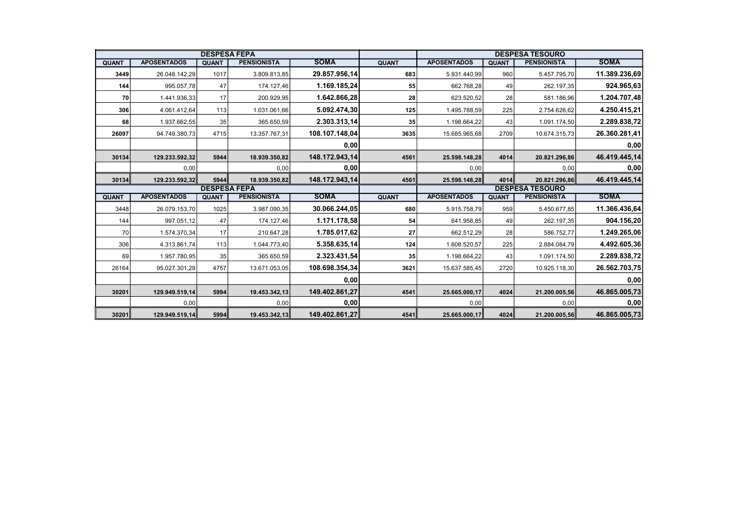| <b>DESPESA FEPA</b> |                    |              |                    |                |              | <b>DESPESA TESOURO</b> |              |                        |               |  |
|---------------------|--------------------|--------------|--------------------|----------------|--------------|------------------------|--------------|------------------------|---------------|--|
| <b>QUANT</b>        | <b>APOSENTADOS</b> | <b>QUANT</b> | <b>PENSIONISTA</b> | <b>SOMA</b>    | <b>QUANT</b> | <b>APOSENTADOS</b>     | <b>QUANT</b> | <b>PENSIONISTA</b>     | <b>SOMA</b>   |  |
| 3449                | 26.048.142,29      | 1017         | 3.809.813,85       | 29.857.956,14  | 683          | 5.931.440,99           | 960          | 5.457.795,70           | 11.389.236,69 |  |
| 144                 | 995.057,78         | 47           | 174.127,46         | 1.169.185,24   | 55           | 662.768,28             | 49           | 262.197,35             | 924.965,63    |  |
| 70                  | 1.441.936,33       | 17           | 200.929,95         | 1.642.866,28   | 28           | 623.520,52             | 28           | 581.186,96             | 1.204.707,48  |  |
| 306                 | 4.061.412,64       | 113          | 1.031.061,66       | 5.092.474,30   | 125          | 1.495.788,59           | 225          | 2.754.626,62           | 4.250.415,21  |  |
| 68                  | 1.937.662,55       | 35           | 365.650,59         | 2.303.313,14   | 35           | 1.198.664,22           | 43           | 1.091.174,50           | 2.289.838,72  |  |
| 26097               | 94.749.380,73      | 4715         | 13.357.767,31      | 108.107.148,04 | 3635         | 15.685.965,68          | 2709         | 10.674.315,73          | 26.360.281,41 |  |
|                     |                    |              |                    | 0,00           |              |                        |              |                        | 0,00          |  |
| 30134               | 129.233.592,32     | 5944         | 18.939.350,82      | 148.172.943,14 | 4561         | 25.598.148,28          | 4014         | 20.821.296,86          | 46.419.445,14 |  |
|                     | 0,00               |              | 0,00               | 0,00           |              | 0,00                   |              | 0,00                   | 0,00          |  |
| 30134               | 129.233.592,32     | 5944         | 18.939.350,82      | 148.172.943,14 | 4561         | 25.598.148,28          | 4014         | 20.821.296,86          | 46.419.445,14 |  |
| <b>DESPESA FEPA</b> |                    |              |                    |                |              |                        |              |                        |               |  |
|                     |                    |              |                    |                |              |                        |              | <b>DESPESA TESOURO</b> |               |  |
| <b>QUANT</b>        | <b>APOSENTADOS</b> | <b>QUANT</b> | <b>PENSIONISTA</b> | <b>SOMA</b>    | <b>QUANT</b> | <b>APOSENTADOS</b>     | <b>QUANT</b> | <b>PENSIONISTA</b>     | <b>SOMA</b>   |  |
| 3448                | 26.079.153,70      | 1025         | 3.987.090,35       | 30.066.244,05  | 680          | 5.915.758,79           | 959          | 5.450.677,85           | 11.366.436,64 |  |
| 144                 | 997.051,12         | 47           | 174.127,46         | 1.171.178,58   | 54           | 641.958,85             | 49           | 262.197,35             | 904.156,20    |  |
| 70                  | 1.574.370,34       | 17           | 210.647,28         | 1.785.017,62   | 27           | 662.512,29             | 28           | 586.752,77             | 1.249.265,06  |  |
| 306                 | 4.313.861,74       | 113          | 1.044.773,40       | 5.358.635,14   | 124          | 1.608.520,57           | 225          | 2.884.084,79           | 4.492.605,36  |  |
| 69                  | 1.957.780,95       | 35           | 365.650,59         | 2.323.431,54   | 35           | 1.198.664,22           | 43           | 1.091.174,50           | 2.289.838,72  |  |
| 26164               | 95.027.301,29      | 4757         | 13.671.053,05      | 108.698.354,34 | 3621         | 15.637.585,45          | 2720         | 10.925.118,30          | 26.562.703,75 |  |
|                     |                    |              |                    | 0,00           |              |                        |              |                        | 0,00          |  |
| 30201               | 129.949.519,14     | 5994         | 19.453.342,13      | 149.402.861.27 | 4541         | 25.665.000,17          | 4024         | 21.200.005.56          | 46.865.005,73 |  |
|                     | 0,00               |              | 0,00               | 0,00           |              | 0,00                   |              | 0.00                   | 0,00          |  |